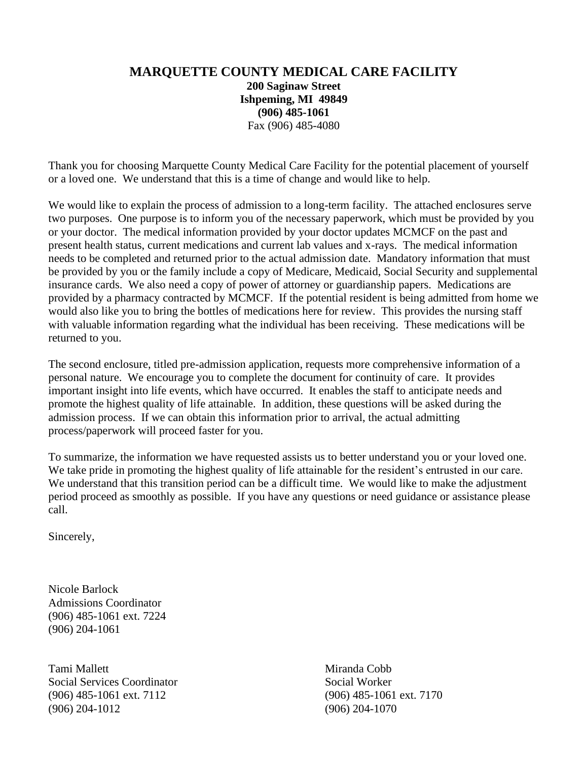## **MARQUETTE COUNTY MEDICAL CARE FACILITY 200 Saginaw Street Ishpeming, MI 49849 (906) 485-1061** Fax (906) 485-4080

Thank you for choosing Marquette County Medical Care Facility for the potential placement of yourself or a loved one. We understand that this is a time of change and would like to help.

We would like to explain the process of admission to a long-term facility. The attached enclosures serve two purposes. One purpose is to inform you of the necessary paperwork, which must be provided by you or your doctor. The medical information provided by your doctor updates MCMCF on the past and present health status, current medications and current lab values and x-rays. The medical information needs to be completed and returned prior to the actual admission date. Mandatory information that must be provided by you or the family include a copy of Medicare, Medicaid, Social Security and supplemental insurance cards. We also need a copy of power of attorney or guardianship papers. Medications are provided by a pharmacy contracted by MCMCF. If the potential resident is being admitted from home we would also like you to bring the bottles of medications here for review. This provides the nursing staff with valuable information regarding what the individual has been receiving. These medications will be returned to you.

The second enclosure, titled pre-admission application, requests more comprehensive information of a personal nature. We encourage you to complete the document for continuity of care. It provides important insight into life events, which have occurred. It enables the staff to anticipate needs and promote the highest quality of life attainable. In addition, these questions will be asked during the admission process. If we can obtain this information prior to arrival, the actual admitting process/paperwork will proceed faster for you.

To summarize, the information we have requested assists us to better understand you or your loved one. We take pride in promoting the highest quality of life attainable for the resident's entrusted in our care. We understand that this transition period can be a difficult time. We would like to make the adjustment period proceed as smoothly as possible. If you have any questions or need guidance or assistance please call.

Sincerely,

Nicole Barlock Admissions Coordinator (906) 485-1061 ext. 7224 (906) 204-1061

Tami Mallett **Miranda Cobb** Social Services Coordinator Social Worker (906) 485-1061 ext. 7112 (906) 485-1061 ext. 7170 (906) 204-1012 (906) 204-1070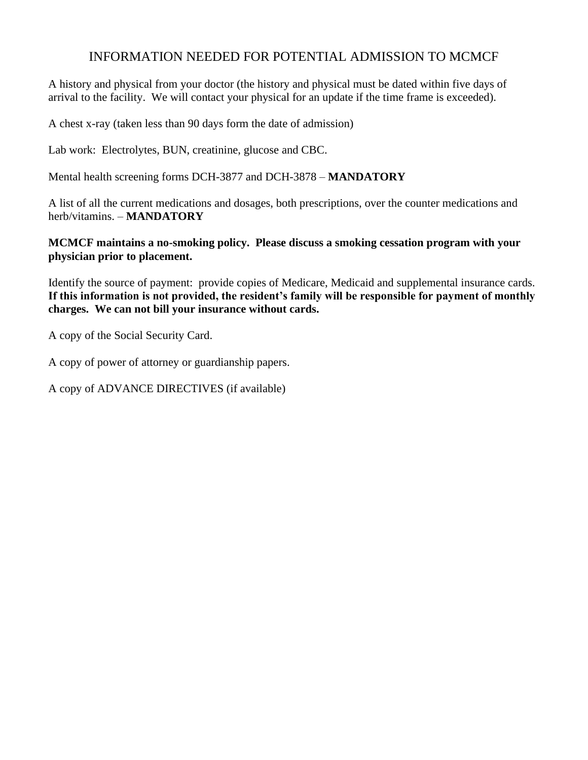# INFORMATION NEEDED FOR POTENTIAL ADMISSION TO MCMCF

A history and physical from your doctor (the history and physical must be dated within five days of arrival to the facility. We will contact your physical for an update if the time frame is exceeded).

A chest x-ray (taken less than 90 days form the date of admission)

Lab work: Electrolytes, BUN, creatinine, glucose and CBC.

Mental health screening forms DCH-3877 and DCH-3878 – **MANDATORY**

A list of all the current medications and dosages, both prescriptions, over the counter medications and herb/vitamins. – **MANDATORY**

**MCMCF maintains a no-smoking policy. Please discuss a smoking cessation program with your physician prior to placement.**

Identify the source of payment: provide copies of Medicare, Medicaid and supplemental insurance cards. **If this information is not provided, the resident's family will be responsible for payment of monthly charges. We can not bill your insurance without cards.** 

A copy of the Social Security Card.

A copy of power of attorney or guardianship papers.

A copy of ADVANCE DIRECTIVES (if available)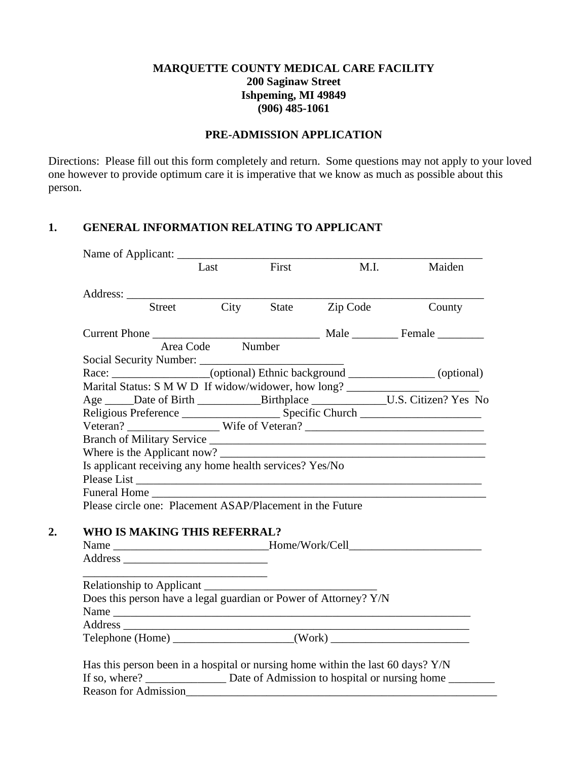## **MARQUETTE COUNTY MEDICAL CARE FACILITY 200 Saginaw Street Ishpeming, MI 49849 (906) 485-1061**

### **PRE-ADMISSION APPLICATION**

Directions: Please fill out this form completely and return. Some questions may not apply to your loved one however to provide optimum care it is imperative that we know as much as possible about this person.

### **1. GENERAL INFORMATION RELATING TO APPLICANT**

|                                                         | Last             | First                                                     |                                                                  | M.I.<br>Maiden                                                                      |
|---------------------------------------------------------|------------------|-----------------------------------------------------------|------------------------------------------------------------------|-------------------------------------------------------------------------------------|
|                                                         |                  |                                                           |                                                                  |                                                                                     |
|                                                         |                  |                                                           | Address: <u>Street</u> City State Zip Code                       | County                                                                              |
|                                                         |                  |                                                           |                                                                  |                                                                                     |
|                                                         | Area Code Number |                                                           |                                                                  |                                                                                     |
|                                                         |                  |                                                           |                                                                  |                                                                                     |
|                                                         |                  |                                                           |                                                                  | Race: __________________(optional) Ethnic background _____________(optional)        |
|                                                         |                  |                                                           |                                                                  | Marital Status: S M W D If widow/widower, how long? ____________________________    |
|                                                         |                  |                                                           |                                                                  | Age _____Date of Birth _____________Birthplace ________________U.S. Citizen? Yes No |
|                                                         |                  |                                                           |                                                                  |                                                                                     |
|                                                         |                  |                                                           |                                                                  |                                                                                     |
|                                                         |                  |                                                           |                                                                  |                                                                                     |
|                                                         |                  |                                                           |                                                                  |                                                                                     |
| Is applicant receiving any home health services? Yes/No |                  |                                                           |                                                                  |                                                                                     |
|                                                         |                  |                                                           |                                                                  | Please List                                                                         |
|                                                         |                  |                                                           |                                                                  |                                                                                     |
|                                                         |                  | Please circle one: Placement ASAP/Placement in the Future |                                                                  |                                                                                     |
|                                                         |                  |                                                           |                                                                  |                                                                                     |
|                                                         |                  |                                                           |                                                                  |                                                                                     |
| WHO IS MAKING THIS REFERRAL?                            |                  |                                                           |                                                                  |                                                                                     |
|                                                         |                  |                                                           |                                                                  | Name ________________________________Home/Work/Cell_____________________________    |
|                                                         |                  |                                                           |                                                                  |                                                                                     |
|                                                         |                  |                                                           |                                                                  |                                                                                     |
|                                                         |                  |                                                           | Does this person have a legal guardian or Power of Attorney? Y/N |                                                                                     |
|                                                         |                  |                                                           | Name                                                             |                                                                                     |

Reason for Admission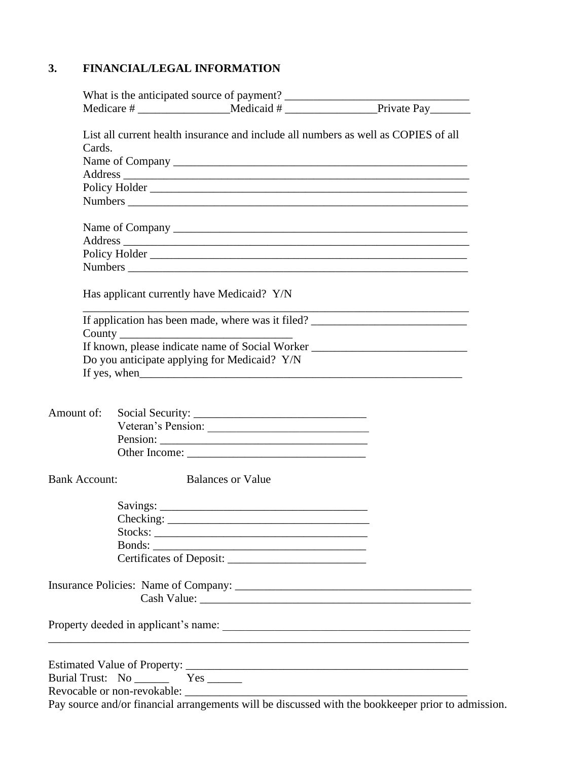# **3. FINANCIAL/LEGAL INFORMATION**

| Has applicant currently have Medicaid? Y/N<br>Do you anticipate applying for Medicaid? Y/N | List all current health insurance and include all numbers as well as COPIES of all<br>If application has been made, where was it filed?<br>If known, please indicate name of Social Worker ________________________________                                                                                                                                      |
|--------------------------------------------------------------------------------------------|------------------------------------------------------------------------------------------------------------------------------------------------------------------------------------------------------------------------------------------------------------------------------------------------------------------------------------------------------------------|
|                                                                                            |                                                                                                                                                                                                                                                                                                                                                                  |
|                                                                                            |                                                                                                                                                                                                                                                                                                                                                                  |
|                                                                                            |                                                                                                                                                                                                                                                                                                                                                                  |
|                                                                                            |                                                                                                                                                                                                                                                                                                                                                                  |
|                                                                                            |                                                                                                                                                                                                                                                                                                                                                                  |
|                                                                                            |                                                                                                                                                                                                                                                                                                                                                                  |
|                                                                                            |                                                                                                                                                                                                                                                                                                                                                                  |
|                                                                                            |                                                                                                                                                                                                                                                                                                                                                                  |
|                                                                                            |                                                                                                                                                                                                                                                                                                                                                                  |
|                                                                                            |                                                                                                                                                                                                                                                                                                                                                                  |
|                                                                                            |                                                                                                                                                                                                                                                                                                                                                                  |
|                                                                                            |                                                                                                                                                                                                                                                                                                                                                                  |
|                                                                                            |                                                                                                                                                                                                                                                                                                                                                                  |
|                                                                                            |                                                                                                                                                                                                                                                                                                                                                                  |
|                                                                                            |                                                                                                                                                                                                                                                                                                                                                                  |
|                                                                                            |                                                                                                                                                                                                                                                                                                                                                                  |
|                                                                                            |                                                                                                                                                                                                                                                                                                                                                                  |
|                                                                                            |                                                                                                                                                                                                                                                                                                                                                                  |
|                                                                                            |                                                                                                                                                                                                                                                                                                                                                                  |
|                                                                                            |                                                                                                                                                                                                                                                                                                                                                                  |
|                                                                                            |                                                                                                                                                                                                                                                                                                                                                                  |
|                                                                                            |                                                                                                                                                                                                                                                                                                                                                                  |
|                                                                                            |                                                                                                                                                                                                                                                                                                                                                                  |
|                                                                                            |                                                                                                                                                                                                                                                                                                                                                                  |
|                                                                                            |                                                                                                                                                                                                                                                                                                                                                                  |
|                                                                                            |                                                                                                                                                                                                                                                                                                                                                                  |
|                                                                                            |                                                                                                                                                                                                                                                                                                                                                                  |
|                                                                                            |                                                                                                                                                                                                                                                                                                                                                                  |
|                                                                                            | Veteran's Pension:<br>Other Income: 2008. Communication of the Communication of the Communication of the Communication of the Communication of the Communication of the Communication of the Communication of the Communication of the Communication<br><b>Balances or Value</b><br>Bonds:<br><u> 1989 - Johann Barbara, margaret eta biztanleria (h. 1989).</u> |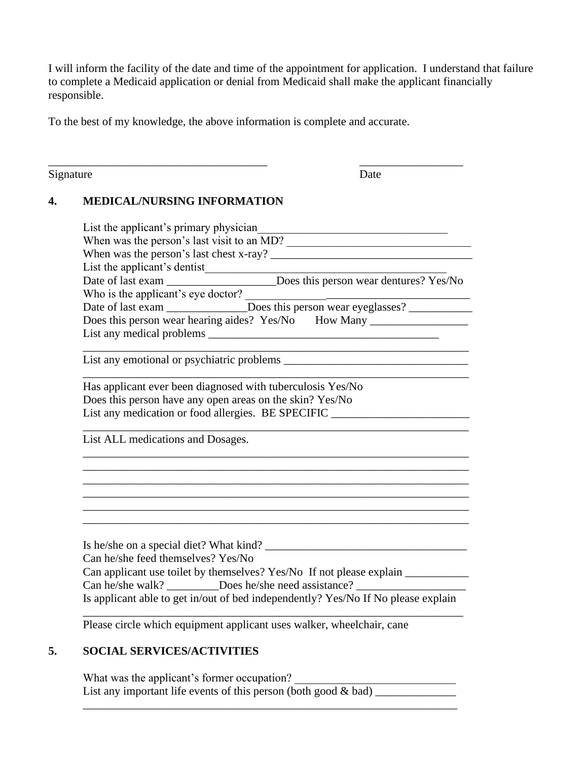I will inform the facility of the date and time of the appointment for application. I understand that failure to complete a Medicaid application or denial from Medicaid shall make the applicant financially responsible.

To the best of my knowledge, the above information is complete and accurate.

\_\_\_\_\_\_\_\_\_\_\_\_\_\_\_\_\_\_\_\_\_\_\_\_\_\_\_\_\_\_\_\_\_\_\_\_\_\_ \_\_\_\_\_\_\_\_\_\_\_\_\_\_\_\_\_\_

Signature Date

## **4. MEDICAL/NURSING INFORMATION**

|                                    | List the applicant's primary physician                                                                                                                               |
|------------------------------------|----------------------------------------------------------------------------------------------------------------------------------------------------------------------|
|                                    | When was the person's last visit to an MD?                                                                                                                           |
|                                    |                                                                                                                                                                      |
|                                    |                                                                                                                                                                      |
|                                    |                                                                                                                                                                      |
|                                    | Who is the applicant's eye doctor?<br>Does this person wear eyeglasses?                                                                                              |
|                                    | Does this person wear hearing aides? Yes/No How Many ____________________________                                                                                    |
|                                    |                                                                                                                                                                      |
|                                    |                                                                                                                                                                      |
|                                    |                                                                                                                                                                      |
|                                    | Has applicant ever been diagnosed with tuberculosis Yes/No                                                                                                           |
|                                    | Does this person have any open areas on the skin? Yes/No                                                                                                             |
|                                    | List any medication or food allergies. BE SPECIFIC ______________________________                                                                                    |
|                                    |                                                                                                                                                                      |
| List ALL medications and Dosages.  |                                                                                                                                                                      |
|                                    |                                                                                                                                                                      |
|                                    |                                                                                                                                                                      |
|                                    |                                                                                                                                                                      |
|                                    |                                                                                                                                                                      |
|                                    |                                                                                                                                                                      |
|                                    |                                                                                                                                                                      |
|                                    |                                                                                                                                                                      |
|                                    |                                                                                                                                                                      |
|                                    |                                                                                                                                                                      |
| Can he/she feed themselves? Yes/No | Is he/she on a special diet? What kind?                                                                                                                              |
|                                    |                                                                                                                                                                      |
|                                    | Can applicant use toilet by themselves? Yes/No If not please explain ___________<br>Can he/she walk? __________Does he/she need assistance? ________________________ |

Please circle which equipment applicant uses walker, wheelchair, cane

# **5. SOCIAL SERVICES/ACTIVITIES**

What was the applicant's former occupation? List any important life events of this person (both good  $\&$  bad)

\_\_\_\_\_\_\_\_\_\_\_\_\_\_\_\_\_\_\_\_\_\_\_\_\_\_\_\_\_\_\_\_\_\_\_\_\_\_\_\_\_\_\_\_\_\_\_\_\_\_\_\_\_\_\_\_\_\_\_\_\_\_\_\_\_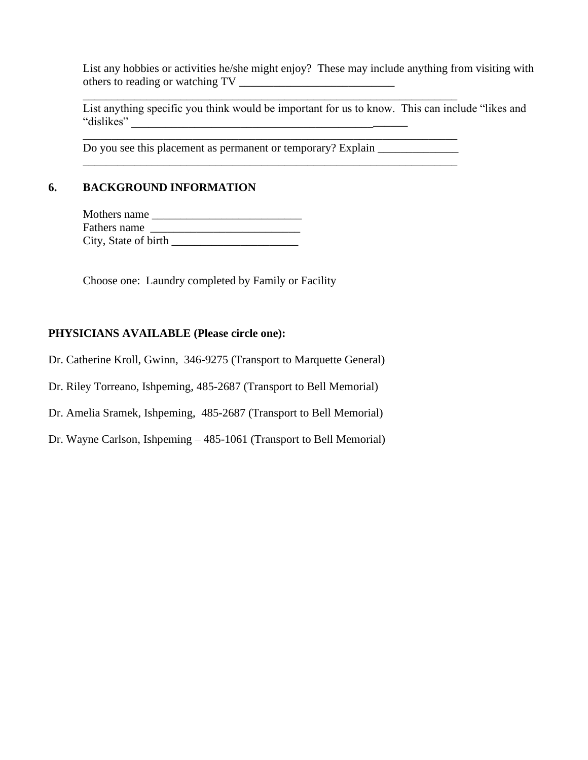List any hobbies or activities he/she might enjoy? These may include anything from visiting with others to reading or watching TV \_\_\_\_\_\_\_\_\_\_\_\_\_\_\_\_\_\_\_\_\_\_\_\_\_\_\_

List anything specific you think would be important for us to know. This can include "likes and "dislikes" \_\_\_\_\_\_\_\_\_\_\_\_\_\_\_\_\_\_\_\_\_\_\_\_\_\_\_\_\_\_\_\_\_\_\_\_\_\_\_\_\_\_\_\_\_\_\_\_

Do you see this placement as permanent or temporary? Explain

\_\_\_\_\_\_\_\_\_\_\_\_\_\_\_\_\_\_\_\_\_\_\_\_\_\_\_\_\_\_\_\_\_\_\_\_\_\_\_\_\_\_\_\_\_\_\_\_\_\_\_\_\_\_\_\_\_\_\_\_\_\_\_\_\_

\_\_\_\_\_\_\_\_\_\_\_\_\_\_\_\_\_\_\_\_\_\_\_\_\_\_\_\_\_\_\_\_\_\_\_\_\_\_\_\_\_\_\_\_\_\_\_\_\_\_\_\_\_\_\_\_\_\_\_\_\_\_\_\_\_

\_\_\_\_\_\_\_\_\_\_\_\_\_\_\_\_\_\_\_\_\_\_\_\_\_\_\_\_\_\_\_\_\_\_\_\_\_\_\_\_\_\_\_\_\_\_\_\_\_\_\_\_\_\_\_\_\_\_\_\_\_\_\_\_\_

### **6. BACKGROUND INFORMATION**

| Mothers name         |  |
|----------------------|--|
| Fathers name         |  |
| City, State of birth |  |

Choose one: Laundry completed by Family or Facility

#### **PHYSICIANS AVAILABLE (Please circle one):**

Dr. Catherine Kroll, Gwinn, 346-9275 (Transport to Marquette General)

Dr. Riley Torreano, Ishpeming, 485-2687 (Transport to Bell Memorial)

Dr. Amelia Sramek, Ishpeming, 485-2687 (Transport to Bell Memorial)

Dr. Wayne Carlson, Ishpeming – 485-1061 (Transport to Bell Memorial)